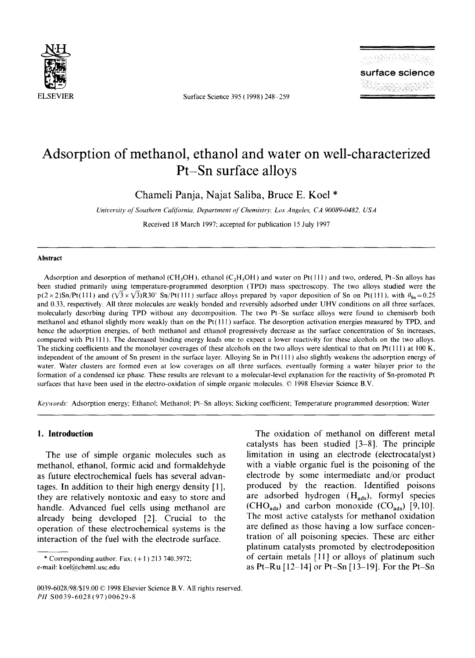

ELSEVIER Surface Science 395 (1998) 248-259

# **Adsorption of methanol, ethanol and water on well-characterized Pt-Sn surface alloys**

Chameli Panja, Najat Saliba, Bruce E. Koel \*

*University of Southern California, Department of Chemistry, Los Angeles, CA 90089-0482, USA* 

Received 18 March 1997; accepted for publication 15 July 1997

#### **Abstract**

Adsorption and desorption of methanol (CH<sub>3</sub>OH), ethanol (C<sub>2</sub>H<sub>5</sub>OH) and water on Pt(111) and two, ordered, Pt-Sn alloys has been studied primarily using temperature-programmed desorption (TPD) mass spectroscopy. The two alloys studied were the  $p(2 \times 2)$ Sn/Pt(111) and  $(\sqrt{3} \times \sqrt{3})R30^\circ$  Sn/Pt(111) surface alloys prepared by vapor deposition of Sn on Pt(111), with  $\theta_{\text{Sn}} = 0.25$ and 0.33, respectively. All three molecules are weakly bonded and reversibly adsorbed under UHV conditions on all three surfaces, molecularly desorbing during TPD without any decomposition. The two Pt-Sn surface alloys were found to chemisorb both methanol and ethanol slightly more weakly than on the  $Pt(111)$  surface. The desorption activation energies measured by TPD, and hence the adsorption energies, of both methanol and ethanol progressively decrease as the surface concentration of Sn increases. compared with Pt( 111 ). The decreased binding energy leads one to expect a lower reactivity for these alcohols on the two alloys. The sticking coefficients and the monolayer coverages of these alcohols on the two alloys were identical to that on Pt(111) at 100 K, independent of the amount of Sn present in the surface layer. Alloying Sn in Pt $(111)$  also slightly weakens the adsorption energy of water. Water clusters are formed even at low coverages on all three surfaces, eventually forming a water bilayer prior to the formation of a condensed ice phase. These results are relevant to a molecular-level explanation for the reactivity of Sn-promoted Pt surfaces that have been used in the electro-oxidation of simple organic molecules. © 1998 Elsevier Science B.V.

*Keywords:* Adsorption energy; Ethanol; Methanol; Pt--Sn alloys; Sicking coefficient; Temperature programmed desorption; Water

## **I. Introduction**

The use of simple organic molecules such as methanol, ethanol, formic acid and formaldehyde as future electrochemical fuels has several advantages. In addition to their high energy density [ 1 ], they are relatively nontoxic and easy to store and handle. Advanced fuel cells using methanol are already being developed [2]. Crucial to the operation of these electrochemical systems is the interaction of the fuel with the electrode surface.

\* Corresponding author. Fax:  $(+1)$  213 740.3972; e-mail: koel@cheml.usc.edu

The oxidation of methanol on different metal catalysts has been studied [3-8]. The principle limitation in using an electrode (electrocatalyst) with a viable organic fuel is the poisoning of the electrode by some intermediate and/or product produced by the reaction. Identified poisons are adsorbed hydrogen  $(H_{ads})$ , formyl species (CHO<sub>ads</sub>) and carbon monoxide  $(CO_{ads})$  [9,10]. The most active catalysts for methanol oxidation are defined as those having a low surface concentration of all poisoning species. These are either platinum catalysts promoted by electrodeposition of certain metals [11] or alloys of platinum such as Pt-Ru [12-14] or Pt-Sn [13-19]. For the Pt-Sn

<sup>0039-6028/98/\$19.00 © 1998</sup> Elsevier Science B.V. All rights reserved. *PH* S0039-6028 (97) 00629-8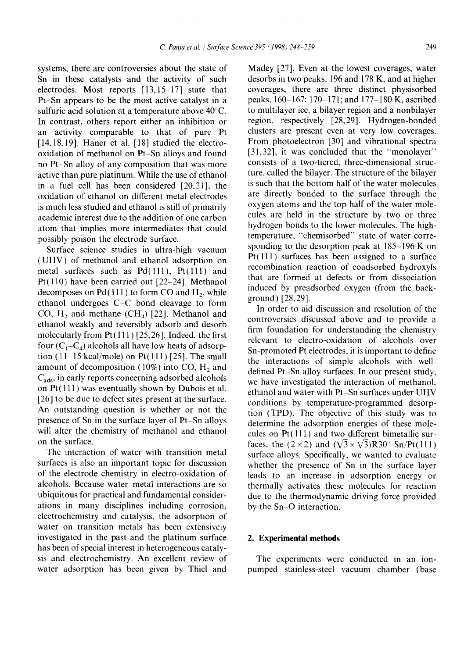systems, there are controversies about the state of Sn in these catalysts and the activity of such electrodes. Most reports [13,15-17] state that Pt-Sn appears to be the most active catalyst in a sulfuric acid solution at a temperature above 40°C. In contrast, others report either an inhibition or an activity comparable to that of pure Pt  $[14, 18, 19]$ . Haner et al.  $[18]$  studied the electrooxidation of methanol on Pt-Sn alloys and found no Pt-Sn alloy of any composition that was more active than pure platinum. While the use of ethanol in a fuel cell has been considered [20,21], the oxidation of ethanol on different metal electrodes is much less studied and ethanol is still of primarily academic interest due to the addition of one carbon atom that implies more intermediates that could possibly poison the electrode surface.

Surface science studies in ultra-high vacuum (UHV) of methanol and ethanol adsorption on metal surfaces such as  $Pd(111)$ ,  $Pt(111)$  and Pt(110) have been carried out [22-24]. Methanol decomposes on  $Pd(111)$  to form CO and  $H<sub>2</sub>$ , while ethanol undergoes C-C bond cleavage to form CO, H<sub>2</sub> and methane  $(CH<sub>4</sub>)$  [22]. Methanol and ethanol weakly and reversibly adsorb and desorb molecularly from  $Pt(111)$  [25,26]. Indeed, the first four  $(C_1-C_4)$  alcohols all have low heats of adsorption  $(11-15 \text{ kcal/mole})$  on Pt $(111)$  [25]. The small amount of decomposition (10%) into CO,  $H_2$  and  $C_{ads}$ , in early reports concerning adsorbed alcohols on  $Pt(111)$  was eventually shown by Dubois et al. [26] to be due to defect sites present at the surface. An outstanding question is whether or not the presence of Sn in the surface layer of Pt-Sn alloys will alter the chemistry of methanol and ethanol on the surface.

The interaction of water with transition metal surfaces is also an important topic for discussion of the electrode chemistry in electro-oxidation of alcohols. Because water-metal interactions are so ubiquitous for practical and fundamental considerations in many disciplines including corrosion, electrochemistry and catalysis, the adsorption of water on transition metals has been extensively investigated in the past and the platinum surface has been of special interest in heterogeneous catalysis and electrochemistry. An excellent review of water adsorption has been given by Thiel and

Madey [27]. Even at the lowest coverages, water desorbs in two peaks, 196 and 178 K, and at higher coverages, there are three distinct physisorbed peaks, 160-167; 170-171; and 177-180 K, ascribed to multilayer ice, a bilayer region and a nonbilayer region, respectively [28,29]. Hydrogen-bonded clusters are present even at very low coverages. From photoelectron [30] and vibrational spectra [31,32], it was concluded that the "monolayer" consists of a two-tiered, three-dimensional structure, called the bilayer. The structure of the bilayer is such that the bottom half of the water molecules are directly bonded to the surface through the oxygen atoms and the top half of the water molecules are held in the structure by two or three hydrogen bonds to the lower molecules. The hightemperature, "chemisorbed" state of water corresponding to the desorption peak at 185-196 K on  $Pt(111)$  surfaces has been assigned to a surface recombination reaction of coadsorbed hydroxyls that are formed at defects or from dissociation induced by preadsorbed oxygen (from the background) [28,29].

In order to aid discussion and resolution of the controversies discussed above and to provide a firm foundation for understanding the chemistry relevant to electro-oxidation of alcohols over Sn-promoted Pt electrodes, it is important to define the interactions of simple alcohols with welldefined Pt-Sn alloy surfaces. In our present study, we have investigated the interaction of methanol, ethanol and water with Pt-Sn surfaces under UHV conditions by temperature-programmed desorption (TPD). The objective of this study was to determine the adsorption energies of these molecules on Pt( 111 ) and two different bimetallic surfaces, the (2 × 2) and ( $\sqrt{3} \times \sqrt{3}$ )R30<sup>°</sup> Sn/Pt(111) surface alloys. Specifically, we wanted to evaluate whether the presence of Sn in the surface layer leads to an increase in adsorption energy or thermally activates these molecules for reaction due to the thermodynamic driving force provided by the Sn-O interaction.

## **2. Experimental methods**

The experiments were conducted in an ionpumped stainless-steel vacuum chamber (base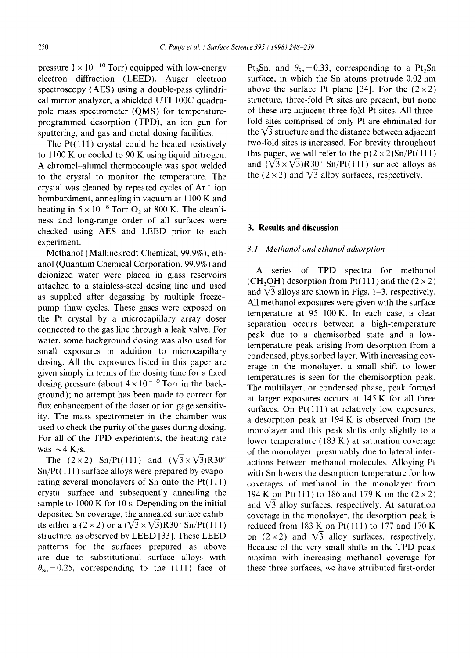pressure  $1 \times 10^{-10}$  Torr) equipped with low-energy electron diffraction (LEED), Auger electron spectroscopy (AES) using a double-pass cylindrical mirror analyzer, a shielded UTI 100C quadrupole mass spectrometer (QMS) for temperatureprogrammed desorption (TPD), an ion gun for sputtering, and gas and metal dosing facilities.

The  $Pt(111)$  crystal could be heated resistively to 1100 K or cooled to 90 K using liquid nitrogen. A chromel-alumel thermocouple was spot welded to the crystal to monitor the temperature. The crystal was cleaned by repeated cycles of  $Ar<sup>+</sup>$  ion bombardment, annealing in vacuum at 1100 K and heating in  $5 \times 10^{-8}$  Torr O<sub>2</sub> at 800 K. The cleanliness and long-range order of all surfaces were checked using AES and LEED prior to each experiment.

Methanol (Mallinckrodt Chemical, 99.9%), ethanol (Quantum Chemical Corporation, 99.9%) and deionized water were placed in glass reservoirs attached to a stainless-steel dosing line and used as supplied after degassing by multiple freezepump-thaw cycles. These gases were exposed on the Pt crystal by a microcapillary array doser connected to the gas line through a leak valve. For water, some background dosing was also used for small exposures in addition to microcapillary dosing. All the exposures listed in this paper are given simply in terms of the dosing time for a fixed dosing pressure (about  $4 \times 10^{-10}$  Torr in the background); no attempt has been made to correct for flux enhancement of the doser or ion gage sensitivity. The mass spectrometer in the chamber was used to check the purity of the gases during dosing. For all of the TPD experiments, the heating rate was  $\sim$  4 K/s.

The  $(2 \times 2)$  Sn/Pt(111) and  $(\sqrt{3} \times \sqrt{3})R30^{\circ}$ Sn/Pt( 111 ) surface alloys were prepared by evaporating several monolayers of Sn onto the Pt( 111 ) crystal surface and subsequently annealing the sample to 1000 K for 10 s. Depending on the initial deposited Sn coverage, the annealed surface exhibits either a (2 × 2) or a ( $\sqrt{3} \times \sqrt{3}$ )R30° Sn/Pt(111) structure, as observed by LEED [33]. These LEED patterns for the surfaces prepared as above are due to substitutional surface alloys with  $\theta_{\text{Sn}}=0.25$ , corresponding to the (111) face of Pt<sub>3</sub>Sn, and  $\theta_{\text{Sn}}=0.33$ , corresponding to a Pt<sub>2</sub>Sn surface, in which the Sn atoms protrude 0.02 nm above the surface Pt plane [34]. For the  $(2 \times 2)$ structure, three-fold Pt sites are present, but none of these are adjacent three-fold Pt sites. All threefold sites comprised of only Pt are eliminated for the  $\sqrt{3}$  structure and the distance between adjacent two-fold sites is increased. For brevity throughout this paper, we will refer to the  $p(2 \times 2)$ Sn/Pt(111) and  $(\sqrt{3} \times \sqrt{3})R30^{\circ}$  Sn/Pt(111) surface alloys as the (2 × 2) and  $\sqrt{3}$  alloy surfaces, respectively.

## **3. Results and discussion**

## *3.1. Methanol and ethanol adsorption*

A series of TPD spectra for methanol (CH<sub>3</sub>OH) desorption from Pt(111) and the  $(2 \times 2)$ and  $\sqrt{3}$  alloys are shown in Figs. 1-3, respectively. All methanol exposures were given with the surface temperature at  $95-100$  K. In each case, a clear separation occurs between a high-temperature peak due to a chemisorbed state and a lowtemperature peak arising from desorption from a condensed, physisorbed layer. With increasing coverage in the monolayer, a small shift to lower temperatures is seen for the chemisorption peak. The multilayer, or condensed phase, peak formed at larger exposures occurs at 145 K for all three surfaces. On  $Pt(111)$  at relatively low exposures, a desorption peak at 194 K is observed from the monolayer and this peak shifts only slightly to a lower temperature (183 K) at saturation coverage of the monolayer, presumably due to lateral interactions between methanol molecules. Alloying Pt with Sn lowers the desorption temperature for low coverages of methanol in the monolayer from 194 K on Pt(111) to 186 and 179 K on the  $(2 \times 2)$ and  $\sqrt{3}$  alloy surfaces, respectively. At saturation coverage in the monolayer, the desorption peak is reduced from  $183$  K on Pt(111) to 177 and 170 K on  $(2 \times 2)$  and  $\sqrt{3}$  alloy surfaces, respectively. Because of the very small shifts in the TPD peak maxima with increasing methanol coverage for these three surfaces, we have attributed first-order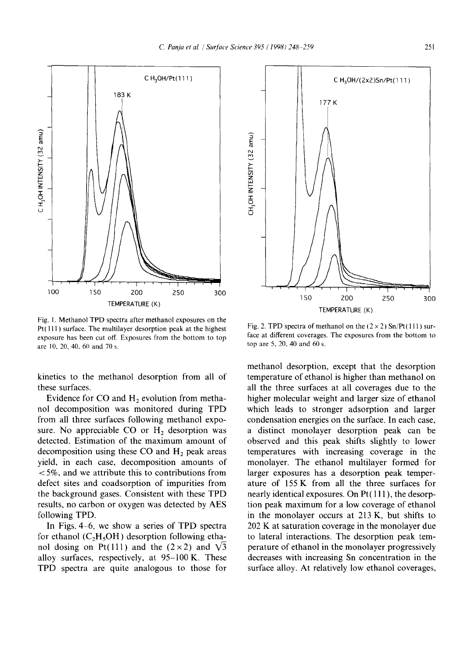

Fig. 1. Methanol TPD spectra after methanol exposures on the  $Pt(111)$  surface. The multilayer desorption peak at the highest exposure has been cut off. Exposures from the bottom to top are 10, 20, 40.60 and 70 s.

kinetics to the methanol desorption from all of these surfaces.

Evidence for CO and  $H<sub>2</sub>$  evolution from methanol decomposition was monitored during TPD from all three surfaces following methanol exposure. No appreciable CO or  $H<sub>2</sub>$  desorption was detected. Estimation of the maximum amount of decomposition using these  $CO$  and  $H<sub>2</sub>$  peak areas yield, in each case, decomposition amounts of  $<$  5%, and we attribute this to contributions from defect sites and coadsorption of impurities from the background gases. Consistent with these TPD results, no carbon or oxygen was detected by AES following TPD.

In Figs. 4-6, we show a series of TPD spectra for ethanol  $(C<sub>2</sub>H<sub>5</sub>OH)$  desorption following ethanol dosing on Pt(111) and the  $(2 \times 2)$  and  $\sqrt{3}$ alloy surfaces, respectively, at  $95-100$  K. These TPD spectra are quite analogous to those for



Fig. 2. TPD spectra of methanol on the  $(2 \times 2)$  Sn/Pt(111) surface at different coverages. The exposures from the bottom to top are 5, 20, 40 and 60 s.

methanol desorption, except that the desorption temperature of ethanol is higher than methanol on all the three surfaces at all coverages due to the higher molecular weight and larger size of ethanol which leads to stronger adsorption and larger condensation energies on the surface. In each case, a distinct monolayer desorption peak can be observed and this peak shifts slightly to lower temperatures with increasing coverage in the monolayer. The ethanol multilayer formed for larger exposures has a desorption peak temperature of 155 K from all the three surfaces for nearly identical exposures. On Pt( 111 ), the desorption peak maximum for a low coverage of ethanol in the monolayer occurs at 213 K, but shifts to 202 K at saturation coverage in the monolayer due to lateral interactions. The desorption peak temperature of ethanol in the monolayer progressively decreases with increasing Sn concentration in the surface alloy. At relatively low ethanol coverages,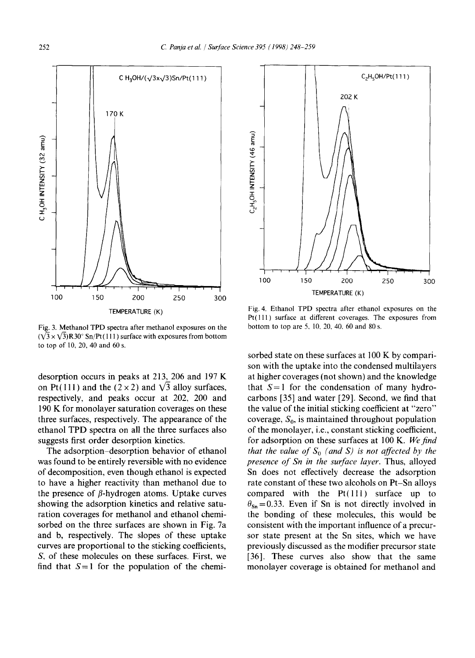

Fig. 3. Methanol TPD spectra after methanol exposures on the  $(\sqrt{3} \times \sqrt{3})$ R30° Sn/Pt(111) surface with exposures from bottom to top of 10, 20, 40 and 60 s.

desorption occurs in peaks at 213, 206 and 197 K on Pt(111) and the (2  $\times$  2) and  $\sqrt{3}$  alloy surfaces, respectively, and peaks occur at 202, 200 and 190 K for monolayer saturation coverages on these three surfaces, respectively. The appearance of the ethanol TPD spectra on all the three surfaces also suggests first order desorption kinetics.

The adsorption-desorption behavior of ethanol was found to be entirely reversible with no evidence of decomposition, even though ethanol is expected to have a higher reactivity than methanol due to the presence of  $\beta$ -hydrogen atoms. Uptake curves showing the adsorption kinetics and relative saturation coverages for methanol and ethanol chemisorbed on the three surfaces are shown in Fig. 7a and b, respectively. The slopes of these uptake curves are proportional to the sticking coefficients, S, of these molecules on these surfaces. First, we find that  $S = 1$  for the population of the chemi-



Fig. 4. Ethanol TPD spectra after ethanol exposures on the Pt(lll) surface at different coverages. The exposures from bottom to top are 5, 10, 20, 40, 60 and 80 s.

sorbed state on these surfaces at 100 K by comparison with the uptake into the condensed multilayers at higher coverages (not shown) and the knowledge that  $S = 1$  for the condensation of many hydrocarbons [35] and water [29]. Second, we find that the value of the initial sticking coefficient at "zero" coverage,  $S_0$ , is maintained throughout population of the monolayer, i.e., constant sticking coefficient, for adsorption on these surfaces at 100 K. We find *that the value of*  $S_0$  (and S) is not affected by the *presence of Sn in the surface layer.* Thus, alloyed Sn does not effectively decrease the adsorption rate constant of these two alcohols on Pt-Sn alloys compared with the  $Pt(111)$  surface up to  $\theta_{\rm Sn}=0.33$ . Even if Sn is not directly involved in the bonding of these molecules, this would be consistent with the important influence of a precursor state present at the Sn sites, which we have previously discussed as the modifier precursor state [36]. These curves also show that the same monolayer coverage is obtained for methanol and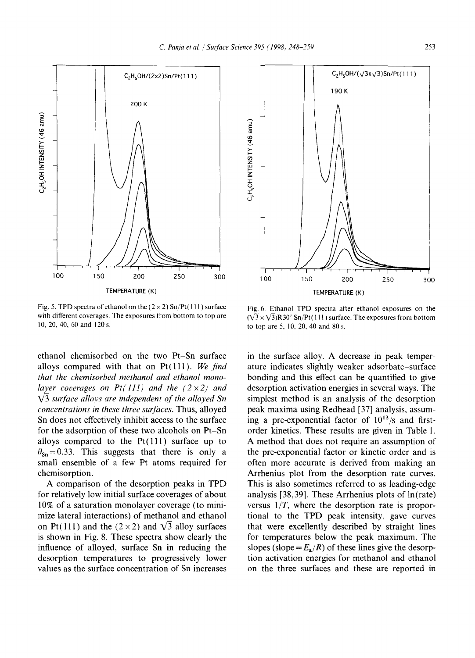

Fig. 5. TPD spectra of ethanol on the  $(2 \times 2)$  Sn/Pt(111) surface with different coverages. The exposures from bottom to top are 10, 20, 40, 60 and 120 s.

ethanol chemisorbed on the two Pt-Sn surface alloys compared with that on Pt(lll). *We find that the chemisorbed methanol and ethanol monolayer coverages on Pt(111) and the (2*  $\times$  *2) and k/3 surface alloys are independent of the alloyed Sn concentrations in these three surfaces.* Thus, alloyed Sn does not effectively inhibit access to the surface for the adsorption of these two alcohols on Pt-Sn alloys compared to the  $Pt(111)$  surface up to  $\theta_{\rm Sn}=0.33$ . This suggests that there is only a small ensemble of a few Pt atoms required for chemisorption.

A comparison of the desorption peaks in TPD for relatively low initial surface coverages of about 10% of a saturation monolayer coverage (to minimize lateral interactions) of methanol and ethanol on Pt(111) and the (2 × 2) and  $\sqrt{3}$  alloy surfaces is shown in Fig. 8. These spectra show clearly the influence of alloyed, surface Sn in reducing the desorption temperatures to progressively lower values as the surface concentration of Sn increases



Fig. 6. Ethanol TPD spectra after ethanol exposures on the  $(\sqrt{3} \times \sqrt{3})R30^{\circ}$  Sn/Pt(111) surface. The exposures from bottom to top are 5, 10, 20, 40 and 80 s.

in the surface alloy. A decrease in peak temperature indicates slightly weaker adsorbate-surface bonding and this effect can be quantified to give desorption activation energies in several ways. The simplest method is an analysis of the desorption peak maxima using Redhead [37] analysis, assuming a pre-exponential factor of  $10^{13}/s$  and firstorder kinetics. These results are given in Table 1. A method that does not require an assumption of the pre-exponential factor or kinetic order and is often more accurate is derived from making an Arrhenius plot from the desorption rate curves. This is also sometimes referred to as leading-edge analysis [38,39]. These Arrhenius plots of ln(rate) versus *l/T,* where the desorption rate is proportional to the TPD peak intensity, gave curves that were excellently described by straight lines for temperatures below the peak maximum. The slopes (slope =  $E_a/R$ ) of these lines give the desorption activation energies for methanol and ethanol on the three surfaces and these are reported in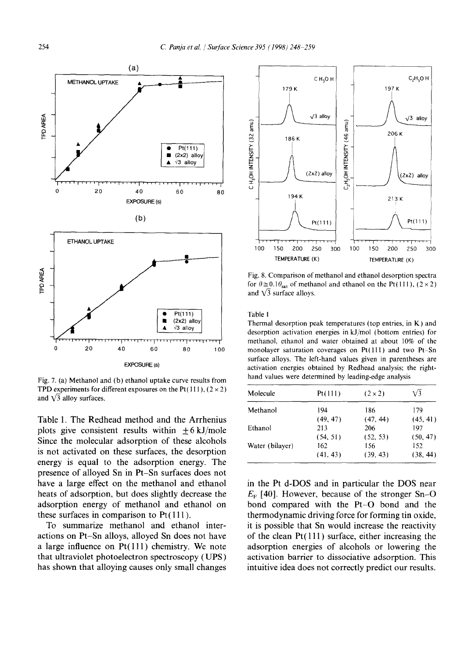

Fig. 7. (a) Methanol and (b) ethanol uptake curve results from TPD experiments for different exposures on the Pt(111),  $(2 \times 2)$ and  $\sqrt{3}$  alloy surfaces.

Table 1. The Redhead method and the Arrhenius plots give consistent results within  $\pm 6$  kJ/mole Since the molecular adsorption of these alcohols is not activated on these surfaces, the desorption energy is equal to the adsorption energy. The presence of alloyed Sn in Pt-Sn surfaces does not have a large effect on the methanol and ethanol heats of adsorption, but does slightly decrease the adsorption energy of methanol and ethanol on these surfaces in comparison to  $Pt(111)$ .

To summarize methanol and ethanol interactions on Pt-Sn alloys, alloyed Sn does not have a large influence on Pt(111) chemistry. We note that ultraviolet photoelectron spectroscopy (UPS) has shown that alloying causes only small changes



Fig. 8. Comparison of methanol and ethanol desorption spectra for  $\theta \approx 0.1 \theta_{\text{sat}}$  of methanol and ethanol on the Pt(111), (2 × 2) and  $\sqrt{3}$  surface alloys.

Table 1

Thermal desorption peak temperatures (top entries, in K) and desorption activation energies in kJ/mol (bottom entries) for methanol, ethanol and water obtained at about 10% of the monolayer saturation coverages on Pt(111) and two Pt-Sn surface alloys. The left-hand values given in parentheses are activation energies obtained by Redhead analysis; the righthand values were determined by leading-edge analysis

| Molecule        | Pt(111)  | $(2 \times 2)$ | V3       |
|-----------------|----------|----------------|----------|
| Methanol        | 194      | 186            | 179      |
|                 | (49, 47) | (47, 44)       | (45, 41) |
| Ethanol         | 213      | 206            | 197      |
|                 | (54, 51) | (52, 53)       | (50, 47) |
| Water (bilayer) | 162      | 156            | 152      |
|                 | (41, 43) | (39, 43)       | (38, 44) |

in the Pt d-DOS and in particular the DOS near  $E_F$  [40]. However, because of the stronger Sn-O bond compared with the Pt-O bond and the thermodynamic driving force for forming tin oxide, it is possible that Sn would increase the reactivity of the clean  $Pt(111)$  surface, either increasing the adsorption energies of alcohols or lowering the activation barrier to dissociative adsorption. This intuitive idea does not correctly predict our results.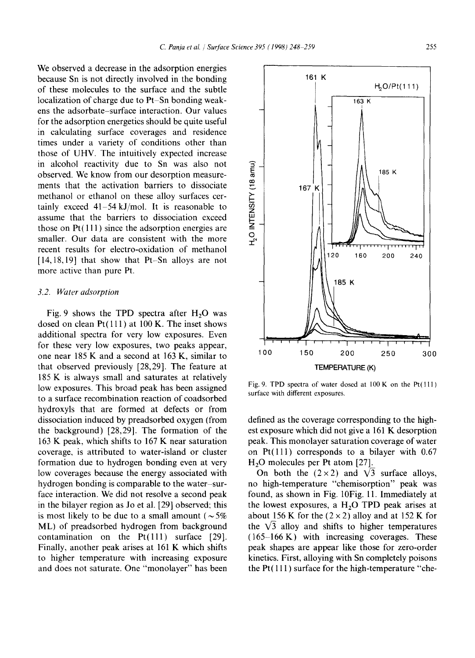We observed a decrease in the adsorption energies because Sn is not directly involved in the bonding of these molecules to the surface and the subtle localization of charge due to Pt-Sn bonding weakens the adsorbate-surface interaction. Our values for the adsorption energetics should be quite useful in calculating surface coverages and residence times under a variety of conditions other than those of UHV. The intuitively expected increase in alcohol reactivity due to Sn was also not observed. We know from our desorption measurements that the activation barriers to dissociate methanol or ethanol on these alloy surfaces certainly exceed 41-54kJ/mol. It is reasonable to assume that the barriers to dissociation exceed those on  $Pt(111)$  since the adsorption energies are smaller. Our data are consistent with the more recent results for electro-oxidation of methanol [14,18,19] that show that Pt-Sn alloys are not more active than pure Pt.

## *3.2. Water adsorption*

Fig. 9 shows the TPD spectra after  $H_2O$  was dosed on clean Pt(111) at 100 K. The inset shows additional spectra for very low exposures. Even for these very low exposures, two peaks appear, one near 185 K and a second at 163 K, similar to that observed previously [28,29]. The feature at 185 K is always small and saturates at relatively low exposures. This broad peak has been assigned to a surface recombination reaction of coadsorbed hydroxyls that are formed at defects or from dissociation induced by preadsorbed oxygen (from the background) [28,29]. The formation of the 163 K peak, which shifts to 167 K near saturation coverage, is attributed to water-island or cluster formation due to hydrogen bonding even at very low coverages because the energy associated with hydrogen bonding is comparable to the water-surface interaction. We did not resolve a second peak in the bilayer region as Jo et al. [29] observed; this is most likely to be due to a small amount ( $\sim 5\%$ ) ML) of preadsorbed hydrogen from background contamination on the  $Pt(111)$  surface  $[29]$ . Finally, another peak arises at 161 K which shifts to higher temperature with increasing exposure and does not saturate. One "monolayer" has been

Fig. 9. TPD spectra of water dosed at  $100$  K on the Pt $(111)$ surface with different exposures.

defined as the coverage corresponding to the highest exposure which did not give a 161 K desorption peak. This monolayer saturation coverage of water on Pt(lll) corresponds to a bilayer with 0.67  $H<sub>2</sub>O$  molecules per Pt atom [27].

On both the  $(2\times2)$  and  $\sqrt{3}$  surface alloys, no high-temperature "chemisorption" peak was found, as shown in Fig. 10Fig. 11. Immediately at the lowest exposures, a  $H<sub>2</sub>O$  TPD peak arises at about 156 K for the  $(2 \times 2)$  alloy and at 152 K for the  $\sqrt{3}$  alloy and shifts to higher temperatures  $(165-166 \text{ K})$  with increasing coverages. These peak shapes are appear like those for zero-order kinetics. First, alloying with Sn completely poisons the Pt( 111 ) surface for the high-temperature "che-

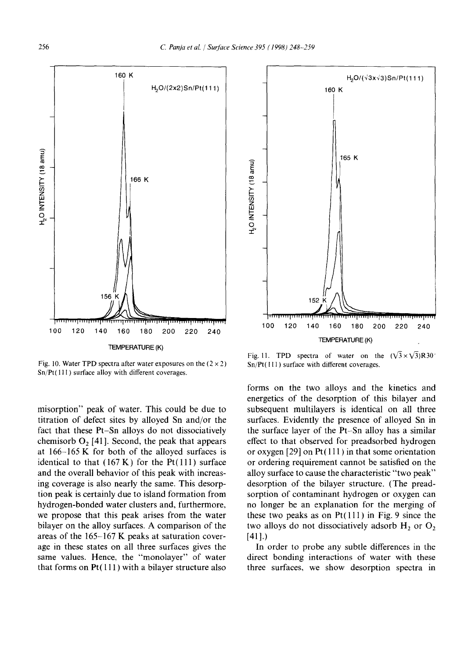

Fig. 10. Water TPD spectra after water exposures on the  $(2 \times 2)$ Sn/Pt(111) surface alloy with different coverages.

misorption" peak of water. This could be due to titration of defect sites by alloyed Sn and/or the fact that these Pt-Sn alloys do not dissociatively chemisorb  $O<sub>2</sub>$  [41]. Second, the peak that appears at 166-165 K for both of the alloyed surfaces is identical to that  $(167 \text{ K})$  for the Pt $(111)$  surface and the overall behavior of this peak with increasing coverage is also nearly the same. This desorption peak is certainly due to island formation from hydrogen-bonded water clusters and, furthermore, we propose that this peak arises from the water bilayer on the alloy surfaces. A comparison of the areas of the 165-167 K peaks at saturation coverage in these states on all three surfaces gives the same values. Hence, the "monolayer" of water that forms on  $Pt(111)$  with a bilayer structure also



Fig. 11. TPD spectra of water on the  $(\sqrt{3} \times \sqrt{3})$ R30<sup>o</sup>  $Sn/Pt(111)$  surface with different coverages.

forms on the two alloys and the kinetics and energetics of the desorption of this bilayer and subsequent multilayers is identical on all three surfaces. Evidently the presence of alloyed Sn in the surface layer of the Pt-Sn alloy has a similar effect to that observed for preadsorbed hydrogen or oxygen  $[29]$  on Pt(111) in that some orientation or ordering requirement cannot be satisfied on the alloy surface to cause the characteristic "two peak" desorption of the bilayer structure. (The preadsorption of contaminant hydrogen or oxygen can no longer be an explanation for the merging of these two peaks as on  $Pt(111)$  in Fig. 9 since the two alloys do not dissociatively adsorb  $H_2$  or  $O_2$ [411.)

In order to probe any subtle differences in the direct bonding interactions of water with these three surfaces, we show desorption spectra in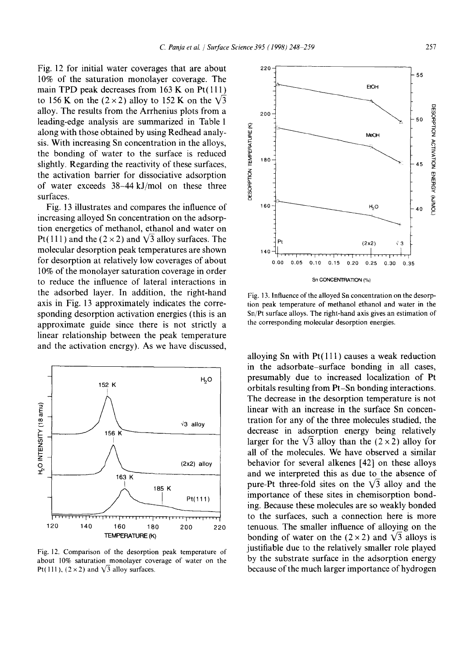Fig. 12 for initial water coverages that are about 10% of the saturation monolayer coverage. The main TPD peak decreases from  $163$  K on Pt $(111)$ to 156 K on the  $(2 \times 2)$  alloy to 152 K on the  $\sqrt{3}$ alloy. The results from the Arrhenius plots from a leading-edge analysis are summarized in Table 1 along with those obtained by using Redhead analysis. With increasing Sn concentration in the alloys, the bonding of water to the surface is reduced slightly. Regarding the reactivity of these surfaces, the activation barrier for dissociative adsorption of water exceeds 38-44 kJ/mol on these three surfaces.

Fig. 13 illustrates and compares the influence of increasing alloyed Sn concentration on the adsorption energetics of methanol, ethanol and water on Pt(111) and the ( $2 \times 2$ ) and  $\sqrt{3}$  alloy surfaces. The molecular desorption peak temperatures are shown for desorption at relatively low coverages of about 10% of the monolayer saturation coverage in order to reduce the influence of lateral interactions in the adsorbed layer. In addition, the right-hand axis in Fig. 13 approximately indicates the corresponding desorption activation energies (this is an approximate guide since there is not strictly a linear relationship between the peak temperature and the activation energy). As we have discussed,



Fig. 12. Comparison of the desorption peak temperature of about 10% saturation monolayer coverage of water on the Pt(111),  $(2 \times 2)$  and  $\sqrt{3}$  alloy surfaces.



Fig. 13. Influence of the alloyed Sn concentration on the desorption peak temperature of methanol ethanol and water in the Sn/Pt surface alloys. The right-hand axis gives an estimation of the corresponding molecular desorption energies.

alloying Sn with  $Pt(111)$  causes a weak reduction in the adsorbate-surface bonding in all cases, presumably due to increased localization of Pt orbitals resulting from Pt-Sn bonding interactions, The decrease in the desorption temperature is not linear with an increase in the surface Sn concentration for any of the three molecules studied, the decrease in adsorption energy being relatively larger for the  $\sqrt{3}$  alloy than the (2 x 2) alloy for all of the molecules. We have observed a similar behavior for several alkenes [42] on these alloys and we interpreted this as due to the absence of pure-Pt three-fold sites on the  $\sqrt{3}$  alloy and the importance of these sites in chemisorption bonding. Because these molecules are so weakly bonded to the surfaces, such a connection here is more tenuous. The smaller influence of alloying on the bonding of water on the  $(2 \times 2)$  and  $\sqrt{3}$  alloys is justifiable due to the relatively smaller role played by the substrate surface in the adsorption energy because of the much larger importance of hydrogen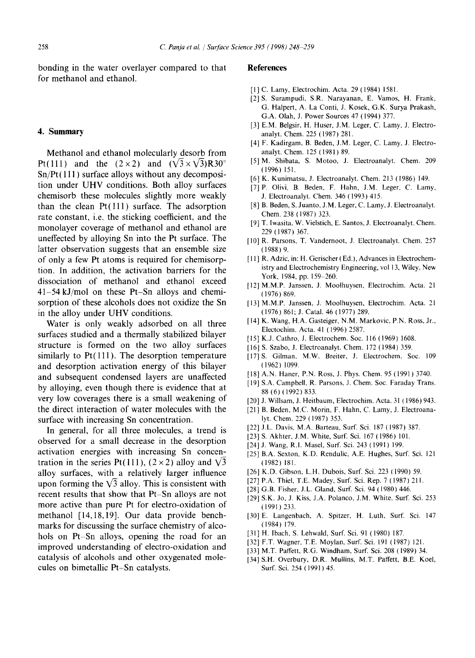bonding in the water overlayer compared to that for methanol and ethanol.

## **4. Summary**

Methanol and ethanol molecularly desorb from Pt(111) and the  $(2\times2)$  and  $(\sqrt{3}\times\sqrt{3})R30^\circ$  $Sn/Pt(111)$  surface alloys without any decomposition under UHV conditions. Both alloy surfaces chemisorb these molecules slightly more weakly than the clean  $Pt(111)$  surface. The adsorption rate constant, i.e. the sticking coefficient, and the monolayer coverage of methanol and ethanol are uneffected by alloying Sn into the Pt surface. The latter observation suggests that an ensemble size of only a few Pt atoms is required for chemisorption. In addition, the activation barriers for the dissociation of methanol and ethanol exceed 41-54 kJ/mol on these Pt-Sn alloys and chemisorption of these alcohols does not oxidize the Sn in the alloy under UHV conditions.

Water is only weakly adsorbed on all three surfaces studied and a thermally stabilized bilayer structure is formed on the two alloy surfaces similarly to Pt(111). The desorption temperature and desorption activation energy of this bilayer and subsequent condensed layers are unaffected by alloying, even though there is evidence that at very low coverages there is a small weakening of the direct interaction of water molecules with the surface with increasing Sn concentration.

In general, for all three molecules, a trend is observed for a small decrease in the desorption activation energies with increasing Sn concentration in the series Pt(111),  $(2 \times 2)$  alloy and  $\sqrt{3}$ alloy surfaces, with a relatively larger influence upon forming the  $\sqrt{3}$  alloy. This is consistent with recent results that show that Pt-Sn alloys are not more active than pure Pt for electro-oxidation of methanol [14, 18, 19]. Our data provide benchmarks for discussing the surface chemistry of alcohols on Pt-Sn alloys, opening the road for an improved understanding of electro-oxidation and catalysis of alcohols and other oxygenated molecules on bimetallic Pt-Sn catalysts.

## **References**

- [1] C. Lamy, Electrochim. Acta. 29 (1984) 1581.
- [2] S. Surampudi, S.R. Narayanan, E. Vamos, H. Frank, G. Halpert, A. La Conti, J. Kosek, G.K. Surya Prakash, G.A. Olah, J. Power Sources 47 (1994) 377.
- [3] E.M. Belgsir, H. Huser, J.M. Leger, C. Lamy, J. Electroanalyt. Chem. 225 (1987) 281.
- [4] F. Kadirgam, B. Beden, J.M. Leger, C. Lamy, J. Electroanalyt. Chem. 125 (1981) 89.
- [5] M. Shibata, S. Motoo, J. Electroanalyt. Chem. 209 (1996) 151.
- [6] K. Kunimatsu, J. Electroanalyt. Chem. 213 (1986) 149.
- [7] P. Olivi, B. Beden, F. Hahn, J.M. Leger, C. Lamy, J. Electroanalyt. Chem. 346 (1993) 415.
- [8] B. Beden, S. Juanto, J.M. Leger, C. Lamy, J. Electroanalyt. Chem. 238 (1987) 323.
- [9] T. lwasita, W. Vielstich, E. Santos, J. Electroanalyt. Chem. 229 (1987) 367.
- [10] R. Parsons, T. Vandernoot, J. Electroanalyt. Chem. 257 (1988) 9.
- [11] R. Adzic, in: H. Gerischer (Ed.), Advances in Electrochemistry and Electrochemistry Engineering, vol 13, Wiley, New York, 1984, pp. 159-260.
- [12] M.M.P. Janssen, J. Moolhuysen, Electrochim. Acta. 21 (1976) 869.
- [13] M.M.P. Janssen, J. Moolhuysen, Electrochim. Acta. 21 (1976) 86[; J. Catal. 46 (1977) 289.
- [14] K. Wang, H.A. Gasteiger, N.M. Markovic, P.N. Ross, Jr., Electochim. Acta. 41 (1996) 2587.
- [15] K.J. Cathro, J. Electrochem. Soc. 116 (1969) 1608.
- [16] S. Szabo, J. Electroanalyt. Chem. 172 (1984) 359.
- [17] S. Gilman, M.W. Breiter, J. Electrochem. Soc. 109 (1962) 1099.
- [18] A.N. Haner, P.N. Ross, J. Phys. Chem. 95 (1991) 3740.
- [19] S.A. Campbell, R. Parsons, J. Chem. Soc. Faraday Trans. 88 (6) (1992) 833.
- [20] J. Willsam, J. Heitbaum, Electrochim. Acta. 31 (1986) 943.
- [21] B. Beden, M.C. Morin, F. Hahn, C. Lamy, J. Electroanalyt. Chem. 229 (1987) 353.
- [22] J.L. Davis, M.A. Barteau, Surf. Sci. 187 (1987) 387.
- [23] S. Akhter, J.M. White, Surf. Sci. 167 (1986) 101.
- [24] J. Wang, R.l. Masel, Surf. Sci. 243 (1991) 199.
- [25] B.A. Sexton, K.D. Rendulic, A.E. Hughes, Surf. Sci. 121 (1982) 181.
- [26] K.D. Gibson, L.H. Dubois, Surf. Sci. 223 (1990) 59.
- [27] P.A. Thiel, T.E. Madey, Surf. Sci. Rep. 7 (1987) 211.
- [28] G.B. Fisher, J.L. Gland, Surf. Sci. 94 (1980) 446.
- [29] S.K. Jo, J. Kiss, J.A. Polanco, J.M. White, Surf. Sci. 253 (1991) 233.
- [30] E. Langenbach, A. Spitzer, H. Luth, Surf. Sci. 147 (1984) 179.
- [31] H. Ibach, S. Lehwald, Surf. Sci. 91 (1980) 187.
- [32] F.T. Wagner, T.E. Moylan, Surf. Sci. 191 (1987) 121.
- [33] M.T. Paffett, R.G. Windham, Surf. Sci. 208 (1989) 34.
- [34] S.H. Overbury, D.R. Mullins, M.T. Paffett, B.E. Koel, Surf. Sci. 254 ( 1991 ) 45.